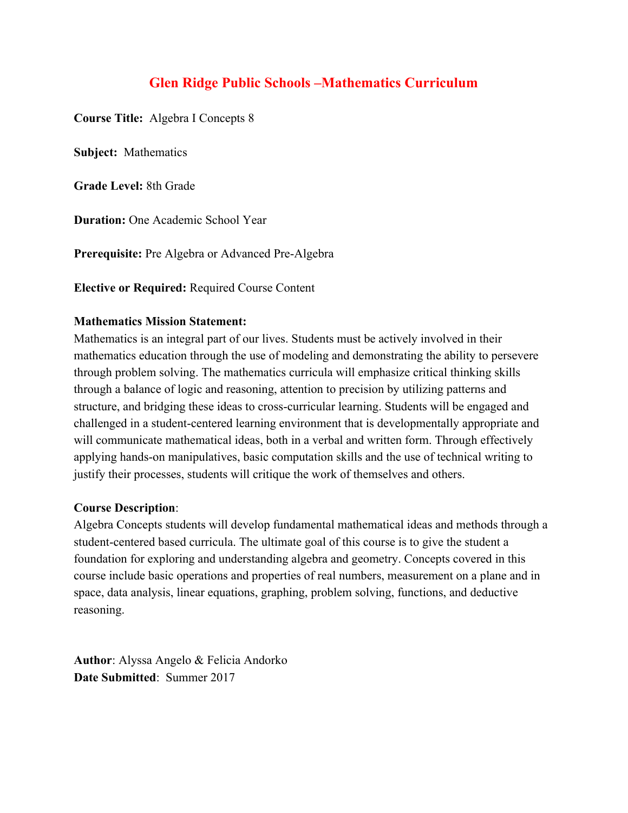# **Glen Ridge Public Schools –Mathematics Curriculum**

**Course Title:** Algebra I Concepts 8

**Subject:** Mathematics

**Grade Level:** 8th Grade

**Duration:** One Academic School Year

**Prerequisite:** Pre Algebra or Advanced Pre-Algebra

**Elective or Required:** Required Course Content

#### **Mathematics Mission Statement:**

Mathematics is an integral part of our lives. Students must be actively involved in their mathematics education through the use of modeling and demonstrating the ability to persevere through problem solving. The mathematics curricula will emphasize critical thinking skills through a balance of logic and reasoning, attention to precision by utilizing patterns and structure, and bridging these ideas to cross-curricular learning. Students will be engaged and challenged in a student-centered learning environment that is developmentally appropriate and will communicate mathematical ideas, both in a verbal and written form. Through effectively applying hands-on manipulatives, basic computation skills and the use of technical writing to justify their processes, students will critique the work of themselves and others.

#### **Course Description**:

Algebra Concepts students will develop fundamental mathematical ideas and methods through a student-centered based curricula. The ultimate goal of this course is to give the student a foundation for exploring and understanding algebra and geometry. Concepts covered in this course include basic operations and properties of real numbers, measurement on a plane and in space, data analysis, linear equations, graphing, problem solving, functions, and deductive reasoning.

**Author**: Alyssa Angelo & Felicia Andorko **Date Submitted**: Summer 2017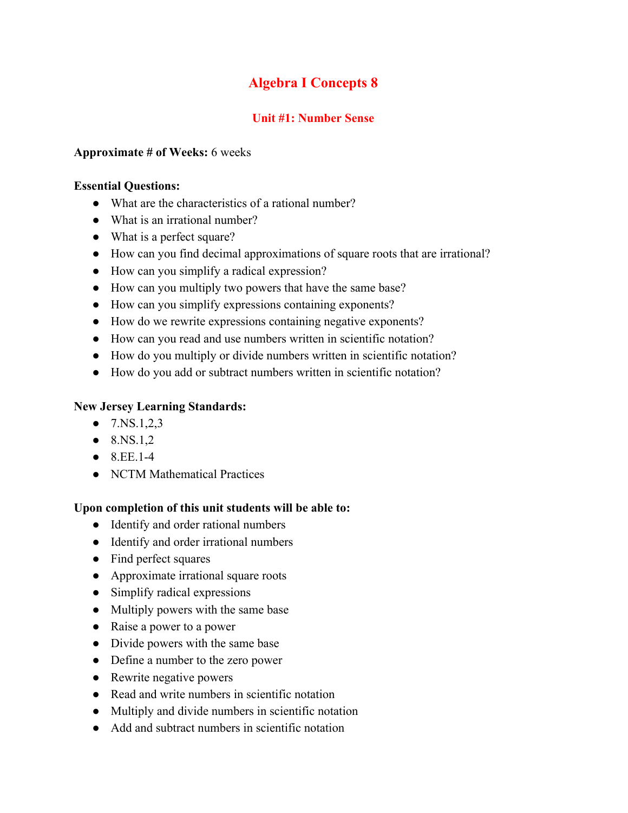# **Algebra I Concepts 8**

## **Unit #1: Number Sense**

#### **Approximate # of Weeks:** 6 weeks

#### **Essential Questions:**

- What are the characteristics of a rational number?
- What is an irrational number?
- What is a perfect square?
- How can you find decimal approximations of square roots that are irrational?
- How can you simplify a radical expression?
- How can you multiply two powers that have the same base?
- How can you simplify expressions containing exponents?
- How do we rewrite expressions containing negative exponents?
- How can you read and use numbers written in scientific notation?
- How do you multiply or divide numbers written in scientific notation?
- How do you add or subtract numbers written in scientific notation?

#### **New Jersey Learning Standards:**

- $\bullet$  7.NS.1,2,3
- $\bullet$  8.NS.1,2
- $\bullet$  8.EE.1-4
- NCTM Mathematical Practices

#### **Upon completion of this unit students will be able to:**

- Identify and order rational numbers
- Identify and order irrational numbers
- Find perfect squares
- Approximate irrational square roots
- Simplify radical expressions
- Multiply powers with the same base
- Raise a power to a power
- Divide powers with the same base
- Define a number to the zero power
- Rewrite negative powers
- Read and write numbers in scientific notation
- Multiply and divide numbers in scientific notation
- Add and subtract numbers in scientific notation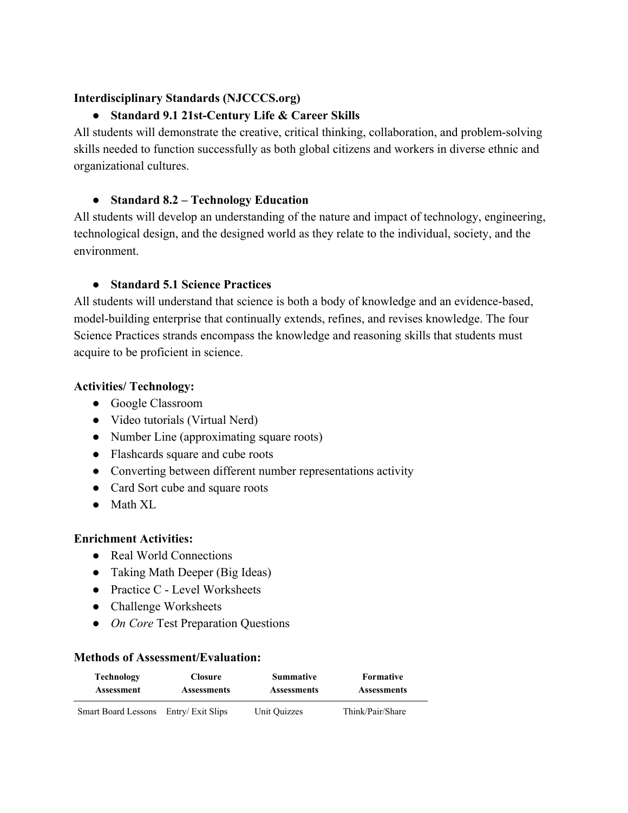## **Interdisciplinary Standards (NJCCCS.org)**

## ● **Standard 9.1 21st-Century Life & Career Skills**

All students will demonstrate the creative, critical thinking, collaboration, and problem-solving skills needed to function successfully as both global citizens and workers in diverse ethnic and organizational cultures.

## ● **Standard 8.2 – Technology Education**

All students will develop an understanding of the nature and impact of technology, engineering, technological design, and the designed world as they relate to the individual, society, and the environment.

## ● **Standard 5.1 Science Practices**

All students will understand that science is both a body of knowledge and an evidence-based, model-building enterprise that continually extends, refines, and revises knowledge. The four Science Practices strands encompass the knowledge and reasoning skills that students must acquire to be proficient in science.

## **Activities/ Technology:**

- Google Classroom
- Video tutorials (Virtual Nerd)
- Number Line (approximating square roots)
- Flashcards square and cube roots
- Converting between different number representations activity
- Card Sort cube and square roots
- Math XL

#### **Enrichment Activities:**

- Real World Connections
- Taking Math Deeper (Big Ideas)
- Practice C Level Worksheets
- Challenge Worksheets
- *On Core* Test Preparation Questions

| <b>Technology</b>   | <b>Closure</b>     | <b>Summative</b>   | Formative          |  |
|---------------------|--------------------|--------------------|--------------------|--|
| Assessment          | <b>Assessments</b> | <b>Assessments</b> | <b>Assessments</b> |  |
| Smart Board Lessons | Entry/ Exit Slips  | Unit Quizzes       | Think/Pair/Share   |  |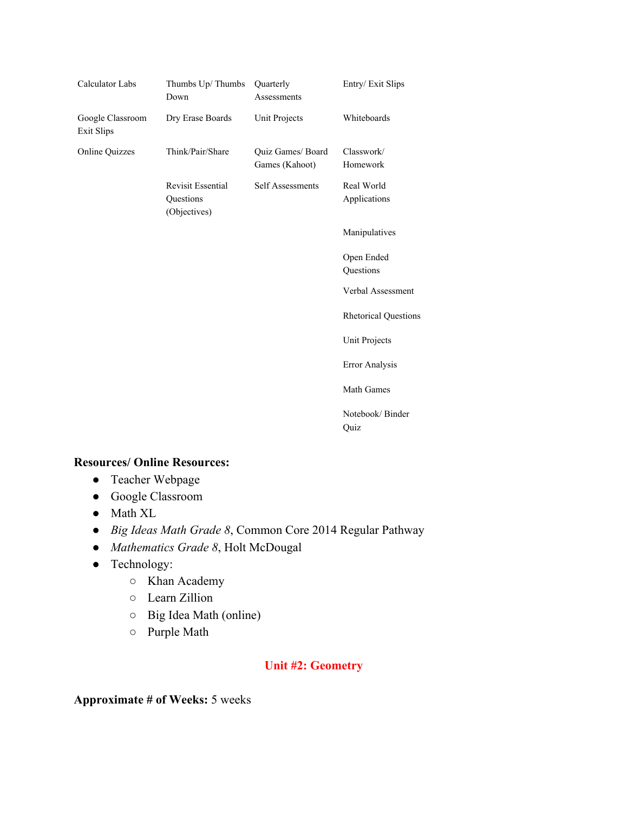| Calculator Labs                       | Thumbs Up/Thumbs<br>Down                              | Quarterly<br>Assessments            | Entry/Exit Slips            |
|---------------------------------------|-------------------------------------------------------|-------------------------------------|-----------------------------|
| Google Classroom<br><b>Exit Slips</b> | Dry Erase Boards                                      | Unit Projects                       | Whiteboards                 |
| <b>Online Quizzes</b>                 | Think/Pair/Share                                      | Quiz Games/ Board<br>Games (Kahoot) | Classwork/<br>Homework      |
|                                       | <b>Revisit Essential</b><br>Questions<br>(Objectives) | Self Assessments                    | Real World<br>Applications  |
|                                       |                                                       |                                     | Manipulatives               |
|                                       |                                                       |                                     | Open Ended<br>Questions     |
|                                       |                                                       |                                     | Verbal Assessment           |
|                                       |                                                       |                                     | <b>Rhetorical Questions</b> |
|                                       |                                                       |                                     | Unit Projects               |
|                                       |                                                       |                                     | Error Analysis              |
|                                       |                                                       |                                     | Math Games                  |
|                                       |                                                       |                                     | Notebook/Binder<br>Quiz     |

- Teacher Webpage
- Google Classroom
- Math XL
- *Big Ideas Math Grade 8*, Common Core 2014 Regular Pathway
- *Mathematics Grade 8*, Holt McDougal
- Technology:
	- Khan Academy
	- Learn Zillion
	- Big Idea Math (online)
	- Purple Math

## **Unit #2: Geometry**

**Approximate # of Weeks:** 5 weeks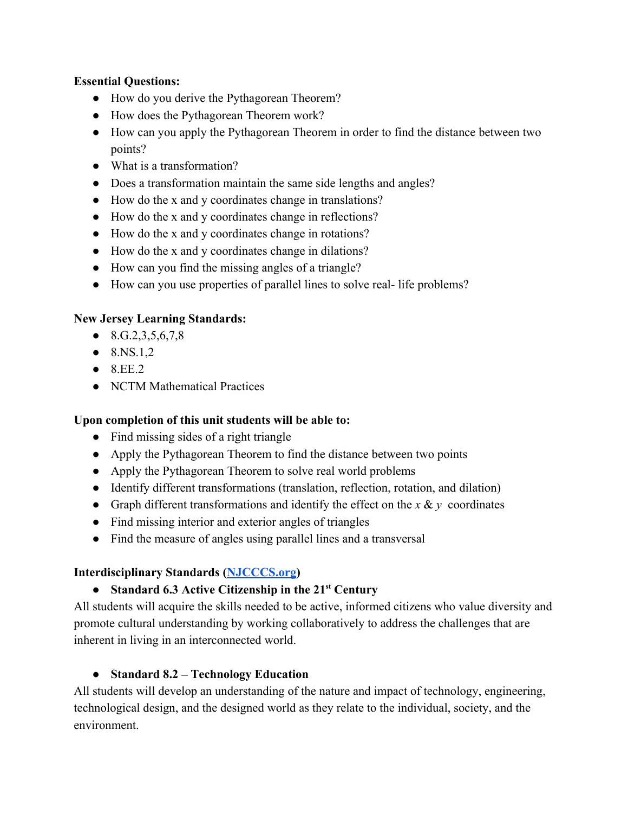## **Essential Questions:**

- How do you derive the Pythagorean Theorem?
- How does the Pythagorean Theorem work?
- How can you apply the Pythagorean Theorem in order to find the distance between two points?
- What is a transformation?
- Does a transformation maintain the same side lengths and angles?
- How do the x and y coordinates change in translations?
- How do the x and y coordinates change in reflections?
- How do the x and y coordinates change in rotations?
- How do the x and y coordinates change in dilations?
- How can you find the missing angles of a triangle?
- How can you use properties of parallel lines to solve real- life problems?

## **New Jersey Learning Standards:**

- $\bullet$  8.G.2,3,5,6,7,8
- $\bullet$  8.NS.1,2
- $\bullet$  8.EE.2
- NCTM Mathematical Practices

## **Upon completion of this unit students will be able to:**

- Find missing sides of a right triangle
- Apply the Pythagorean Theorem to find the distance between two points
- Apply the Pythagorean Theorem to solve real world problems
- Identify different transformations (translation, reflection, rotation, and dilation)
- Graph different transformations and identify the effect on the  $x \& y$  coordinates
- Find missing interior and exterior angles of triangles
- Find the measure of angles using parallel lines and a transversal

## **Interdisciplinary Standards ([NJCCCS.org](http://njcccs.org/))**

# ● **Standard 6.3 Active Citizenship in the 21 st Century**

All students will acquire the skills needed to be active, informed citizens who value diversity and promote cultural understanding by working collaboratively to address the challenges that are inherent in living in an interconnected world.

## ● **Standard 8.2 – Technology Education**

All students will develop an understanding of the nature and impact of technology, engineering, technological design, and the designed world as they relate to the individual, society, and the environment.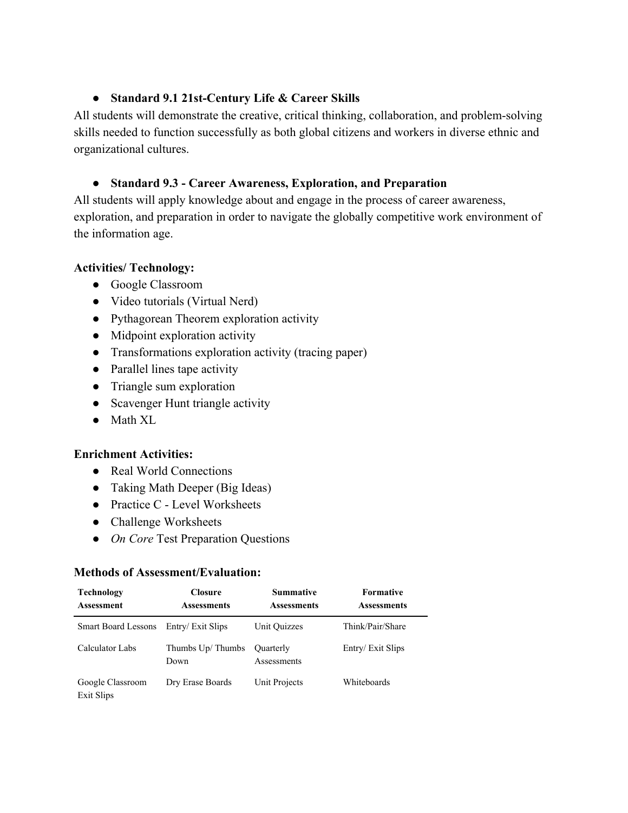#### ● **Standard 9.1 21st-Century Life & Career Skills**

All students will demonstrate the creative, critical thinking, collaboration, and problem-solving skills needed to function successfully as both global citizens and workers in diverse ethnic and organizational cultures.

## ● **Standard 9.3 - Career Awareness, Exploration, and Preparation**

All students will apply knowledge about and engage in the process of career awareness, exploration, and preparation in order to navigate the globally competitive work environment of the information age.

## **Activities/ Technology:**

- Google Classroom
- Video tutorials (Virtual Nerd)
- Pythagorean Theorem exploration activity
- Midpoint exploration activity
- Transformations exploration activity (tracing paper)
- Parallel lines tape activity
- Triangle sum exploration
- Scavenger Hunt triangle activity
- Math XL

## **Enrichment Activities:**

- Real World Connections
- Taking Math Deeper (Big Ideas)
- Practice C Level Worksheets
- Challenge Worksheets
- *On Core* Test Preparation Questions

| <b>Technology</b><br><b>Assessment</b> | <b>Closure</b><br><b>Assessments</b> | <b>Summative</b><br><b>Assessments</b> | <b>Formative</b><br><b>Assessments</b> |
|----------------------------------------|--------------------------------------|----------------------------------------|----------------------------------------|
| <b>Smart Board Lessons</b>             | Entry/ Exit Slips                    | Unit Ouizzes                           | Think/Pair/Share                       |
| Calculator Labs                        | Thumbs Up/Thumbs<br>Down             | Ouarterly<br>Assessments               | Entry/Exit Slips                       |
| Google Classroom<br>Exit Slips         | Dry Erase Boards                     | Unit Projects                          | Whiteboards                            |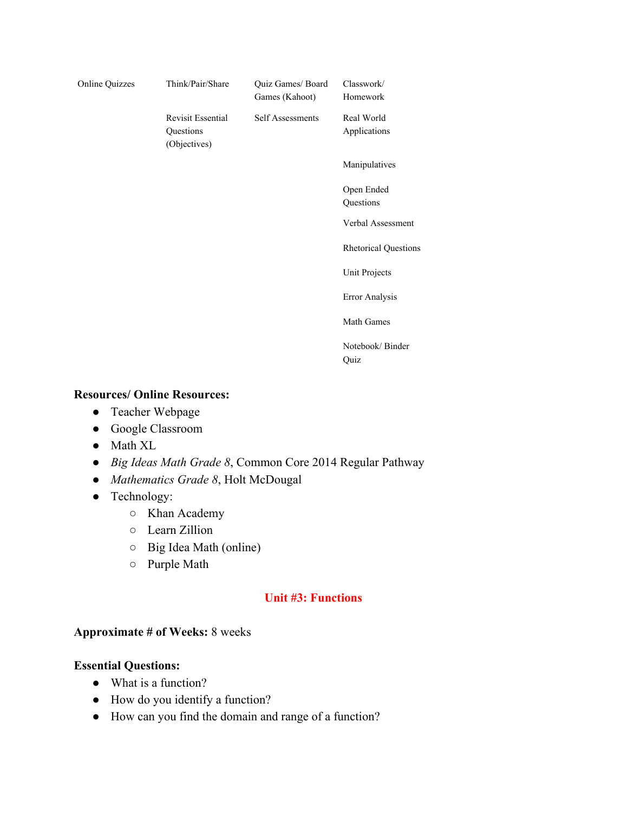| <b>Online Quizzes</b> | Think/Pair/Share                                      | Quiz Games/ Board<br>Games (Kahoot) | Classwork/<br>Homework      |
|-----------------------|-------------------------------------------------------|-------------------------------------|-----------------------------|
|                       | <b>Revisit Essential</b><br>Questions<br>(Objectives) | Self Assessments                    | Real World<br>Applications  |
|                       |                                                       |                                     | Manipulatives               |
|                       |                                                       |                                     | Open Ended<br>Questions     |
|                       |                                                       |                                     | Verbal Assessment           |
|                       |                                                       |                                     | <b>Rhetorical Questions</b> |
|                       |                                                       |                                     | Unit Projects               |
|                       |                                                       |                                     | Error Analysis              |
|                       |                                                       |                                     | Math Games                  |
|                       |                                                       |                                     | Notebook/Binder<br>Quiz     |

- Teacher Webpage
- Google Classroom
- Math XL
- *Big Ideas Math Grade 8*, Common Core 2014 Regular Pathway
- *Mathematics Grade 8*, Holt McDougal
- Technology:
	- Khan Academy
	- Learn Zillion
	- Big Idea Math (online)
	- Purple Math

#### **Unit #3: Functions**

#### **Approximate # of Weeks:** 8 weeks

#### **Essential Questions:**

- What is a function?
- How do you identify a function?
- How can you find the domain and range of a function?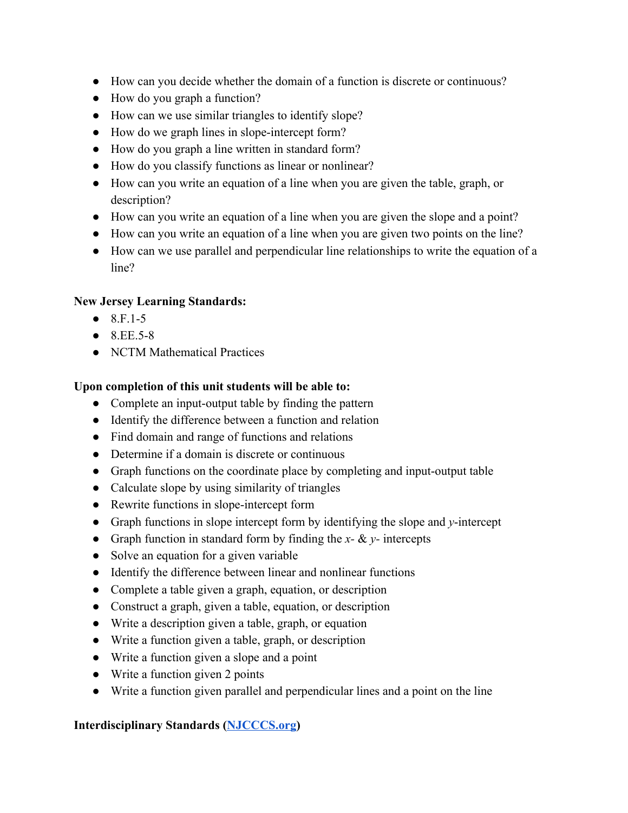- How can you decide whether the domain of a function is discrete or continuous?
- How do you graph a function?
- How can we use similar triangles to identify slope?
- How do we graph lines in slope-intercept form?
- How do you graph a line written in standard form?
- How do you classify functions as linear or nonlinear?
- How can you write an equation of a line when you are given the table, graph, or description?
- How can you write an equation of a line when you are given the slope and a point?
- How can you write an equation of a line when you are given two points on the line?
- How can we use parallel and perpendicular line relationships to write the equation of a line?

## **New Jersey Learning Standards:**

- $\bullet$  8.F.1-5
- $8EE5-8$
- NCTM Mathematical Practices

## **Upon completion of this unit students will be able to:**

- Complete an input-output table by finding the pattern
- Identify the difference between a function and relation
- Find domain and range of functions and relations
- Determine if a domain is discrete or continuous
- Graph functions on the coordinate place by completing and input-output table
- Calculate slope by using similarity of triangles
- Rewrite functions in slope-intercept form
- Graph functions in slope intercept form by identifying the slope and *y*-intercept
- Graph function in standard form by finding the *x-* & *y-* intercepts
- Solve an equation for a given variable
- Identify the difference between linear and nonlinear functions
- Complete a table given a graph, equation, or description
- Construct a graph, given a table, equation, or description
- Write a description given a table, graph, or equation
- Write a function given a table, graph, or description
- Write a function given a slope and a point
- Write a function given 2 points
- Write a function given parallel and perpendicular lines and a point on the line

## **Interdisciplinary Standards ([NJCCCS.org](http://njcccs.org/))**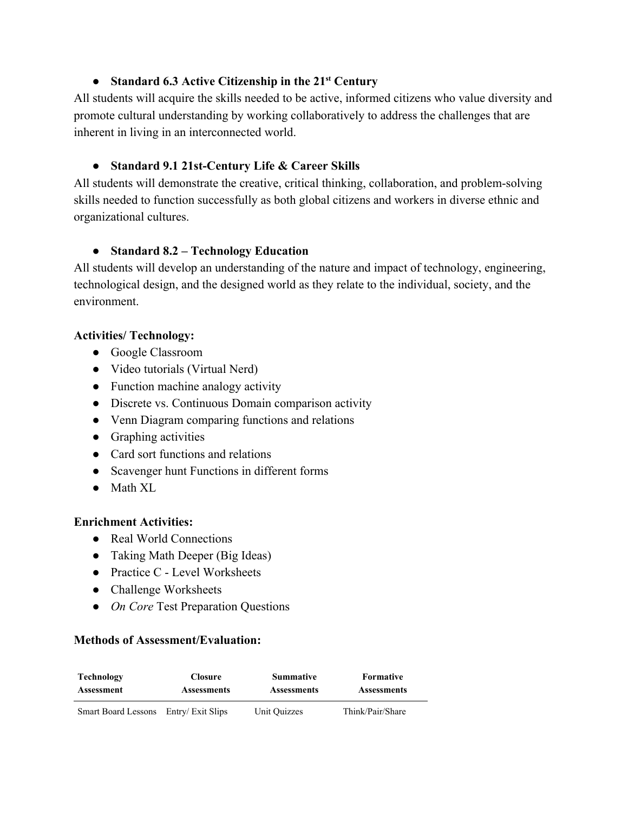# ● **Standard 6.3 Active Citizenship in the 21 st Century**

All students will acquire the skills needed to be active, informed citizens who value diversity and promote cultural understanding by working collaboratively to address the challenges that are inherent in living in an interconnected world.

## ● **Standard 9.1 21st-Century Life & Career Skills**

All students will demonstrate the creative, critical thinking, collaboration, and problem-solving skills needed to function successfully as both global citizens and workers in diverse ethnic and organizational cultures.

## ● **Standard 8.2 – Technology Education**

All students will develop an understanding of the nature and impact of technology, engineering, technological design, and the designed world as they relate to the individual, society, and the environment.

## **Activities/ Technology:**

- Google Classroom
- Video tutorials (Virtual Nerd)
- Function machine analogy activity
- Discrete vs. Continuous Domain comparison activity
- Venn Diagram comparing functions and relations
- Graphing activities
- Card sort functions and relations
- Scavenger hunt Functions in different forms
- Math XL

## **Enrichment Activities:**

- Real World Connections
- Taking Math Deeper (Big Ideas)
- Practice C Level Worksheets
- Challenge Worksheets
- *On Core* Test Preparation Questions

| Technology                            | <b>Closure</b>     | <b>Summative</b>   | Formative          |  |
|---------------------------------------|--------------------|--------------------|--------------------|--|
| <b>Assessment</b>                     | <b>Assessments</b> | <b>Assessments</b> | <b>Assessments</b> |  |
| Smart Board Lessons Entry/ Exit Slips |                    | Unit Quizzes       | Think/Pair/Share   |  |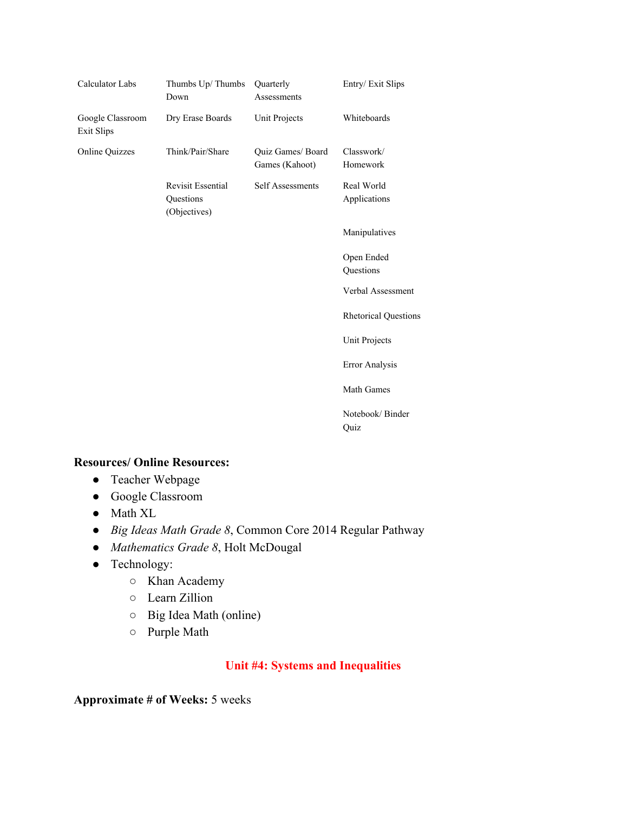| Calculator Labs                       | Thumbs Up/Thumbs<br>Down                              | Quarterly<br>Assessments            | Entry/Exit Slips            |
|---------------------------------------|-------------------------------------------------------|-------------------------------------|-----------------------------|
| Google Classroom<br><b>Exit Slips</b> | Dry Erase Boards                                      | Unit Projects                       | Whiteboards                 |
| <b>Online Quizzes</b>                 | Think/Pair/Share                                      | Quiz Games/ Board<br>Games (Kahoot) | Classwork/<br>Homework      |
|                                       | <b>Revisit Essential</b><br>Questions<br>(Objectives) | Self Assessments                    | Real World<br>Applications  |
|                                       |                                                       |                                     | Manipulatives               |
|                                       |                                                       |                                     | Open Ended<br>Questions     |
|                                       |                                                       |                                     | Verbal Assessment           |
|                                       |                                                       |                                     | <b>Rhetorical Questions</b> |
|                                       |                                                       |                                     | Unit Projects               |
|                                       |                                                       |                                     | Error Analysis              |
|                                       |                                                       |                                     | Math Games                  |
|                                       |                                                       |                                     | Notebook/Binder<br>Quiz     |

- Teacher Webpage
- Google Classroom
- Math XL
- *Big Ideas Math Grade 8*, Common Core 2014 Regular Pathway
- *Mathematics Grade 8*, Holt McDougal
- Technology:
	- Khan Academy
	- Learn Zillion
	- Big Idea Math (online)
	- Purple Math

## **Unit #4: Systems and Inequalities**

**Approximate # of Weeks:** 5 weeks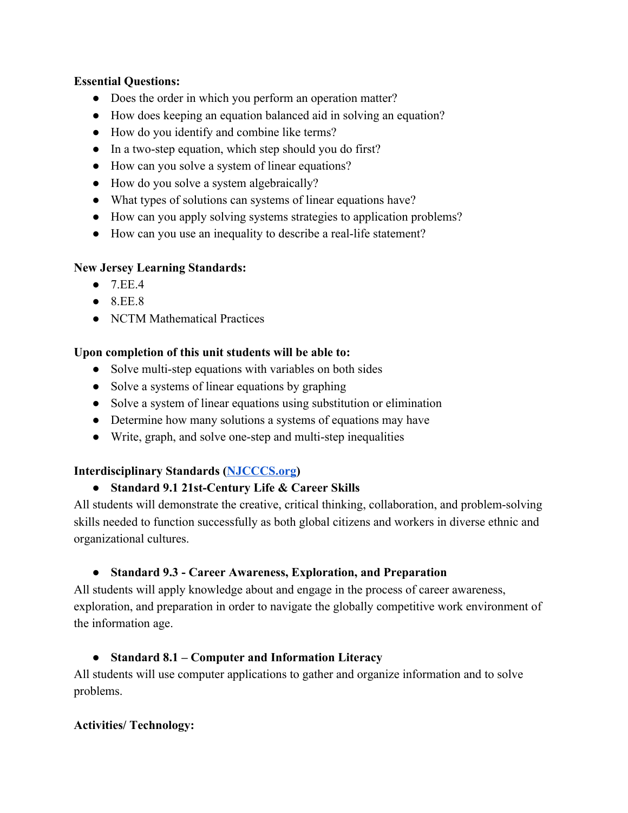#### **Essential Questions:**

- Does the order in which you perform an operation matter?
- How does keeping an equation balanced aid in solving an equation?
- How do you identify and combine like terms?
- In a two-step equation, which step should you do first?
- How can you solve a system of linear equations?
- How do you solve a system algebraically?
- What types of solutions can systems of linear equations have?
- How can you apply solving systems strategies to application problems?
- How can you use an inequality to describe a real-life statement?

## **New Jersey Learning Standards:**

- $\bullet$  7 EE 4
- $\bullet$  8.EE.8
- NCTM Mathematical Practices

## **Upon completion of this unit students will be able to:**

- Solve multi-step equations with variables on both sides
- Solve a systems of linear equations by graphing
- Solve a system of linear equations using substitution or elimination
- Determine how many solutions a systems of equations may have
- Write, graph, and solve one-step and multi-step inequalities

## **Interdisciplinary Standards ([NJCCCS.org](http://njcccs.org/))**

## ● **Standard 9.1 21st-Century Life & Career Skills**

All students will demonstrate the creative, critical thinking, collaboration, and problem-solving skills needed to function successfully as both global citizens and workers in diverse ethnic and organizational cultures.

## ● **Standard 9.3 - Career Awareness, Exploration, and Preparation**

All students will apply knowledge about and engage in the process of career awareness, exploration, and preparation in order to navigate the globally competitive work environment of the information age.

## ● **Standard 8.1 – Computer and Information Literacy**

All students will use computer applications to gather and organize information and to solve problems.

## **Activities/ Technology:**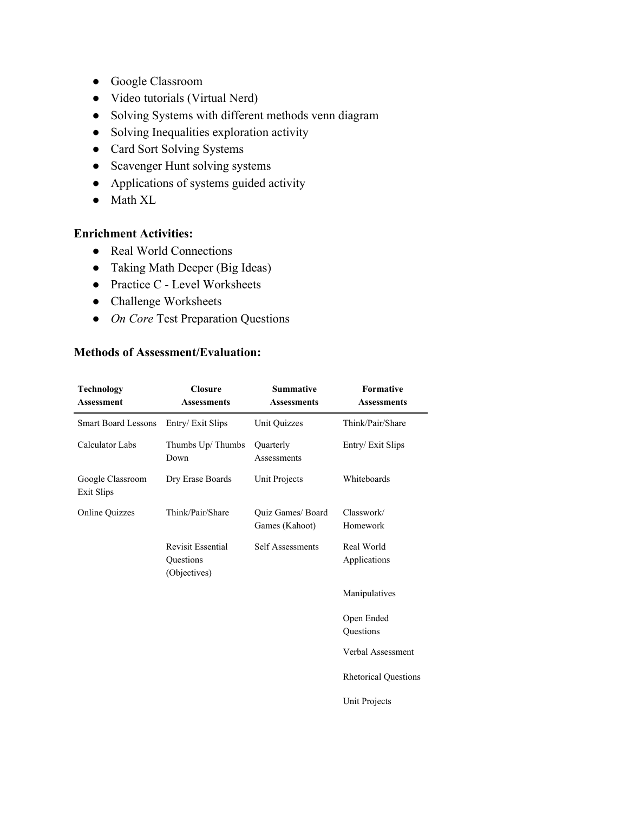- Google Classroom
- Video tutorials (Virtual Nerd)
- Solving Systems with different methods venn diagram
- Solving Inequalities exploration activity
- Card Sort Solving Systems
- Scavenger Hunt solving systems
- Applications of systems guided activity
- Math XL

## **Enrichment Activities:**

- Real World Connections
- Taking Math Deeper (Big Ideas)
- Practice C Level Worksheets
- Challenge Worksheets
- *On Core* Test Preparation Questions

| <b>Technology</b><br><b>Assessment</b> | <b>Closure</b><br><b>Assessments</b>                  | <b>Summative</b><br><b>Assessments</b> | Formative<br><b>Assessments</b> |
|----------------------------------------|-------------------------------------------------------|----------------------------------------|---------------------------------|
| <b>Smart Board Lessons</b>             | Entry/Exit Slips                                      | Unit Quizzes                           | Think/Pair/Share                |
| Calculator Labs                        | Thumbs Up/Thumbs<br>Down                              | Quarterly<br>Assessments               | Entry/Exit Slips                |
| Google Classroom<br>Exit Slips         | Dry Erase Boards                                      | Unit Projects                          | Whiteboards                     |
| <b>Online Quizzes</b>                  | Think/Pair/Share                                      | Quiz Games/ Board<br>Games (Kahoot)    | Classwork/<br>Homework          |
|                                        | <b>Revisit Essential</b><br>Questions<br>(Objectives) | <b>Self Assessments</b>                | Real World<br>Applications      |
|                                        |                                                       |                                        | Manipulatives                   |
|                                        |                                                       |                                        | Open Ended<br>Questions         |
|                                        |                                                       |                                        | Verbal Assessment               |
|                                        |                                                       |                                        | <b>Rhetorical Questions</b>     |
|                                        |                                                       |                                        | Unit Projects                   |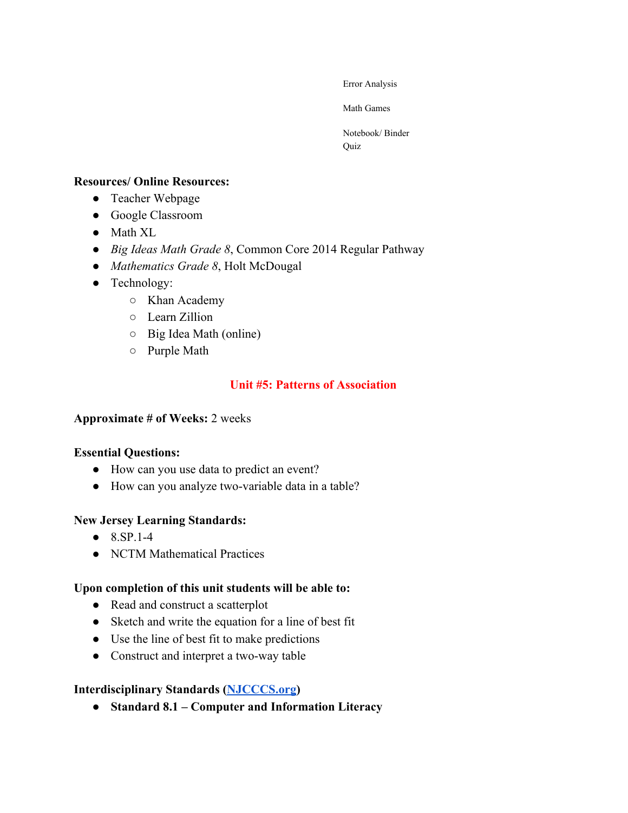Error Analysis

Math Games

Notebook/ Binder Quiz

#### **Resources/ Online Resources:**

- Teacher Webpage
- Google Classroom
- Math XL
- *Big Ideas Math Grade 8*, Common Core 2014 Regular Pathway
- *Mathematics Grade 8*, Holt McDougal
- Technology:
	- Khan Academy
	- Learn Zillion
	- Big Idea Math (online)
	- Purple Math

## **Unit #5: Patterns of Association**

#### **Approximate # of Weeks:** 2 weeks

#### **Essential Questions:**

- How can you use data to predict an event?
- How can you analyze two-variable data in a table?

#### **New Jersey Learning Standards:**

- $\bullet$  8.SP.1-4
- NCTM Mathematical Practices

#### **Upon completion of this unit students will be able to:**

- Read and construct a scatterplot
- Sketch and write the equation for a line of best fit
- Use the line of best fit to make predictions
- Construct and interpret a two-way table

#### **Interdisciplinary Standards ([NJCCCS.org](http://njcccs.org/))**

● **Standard 8.1 – Computer and Information Literacy**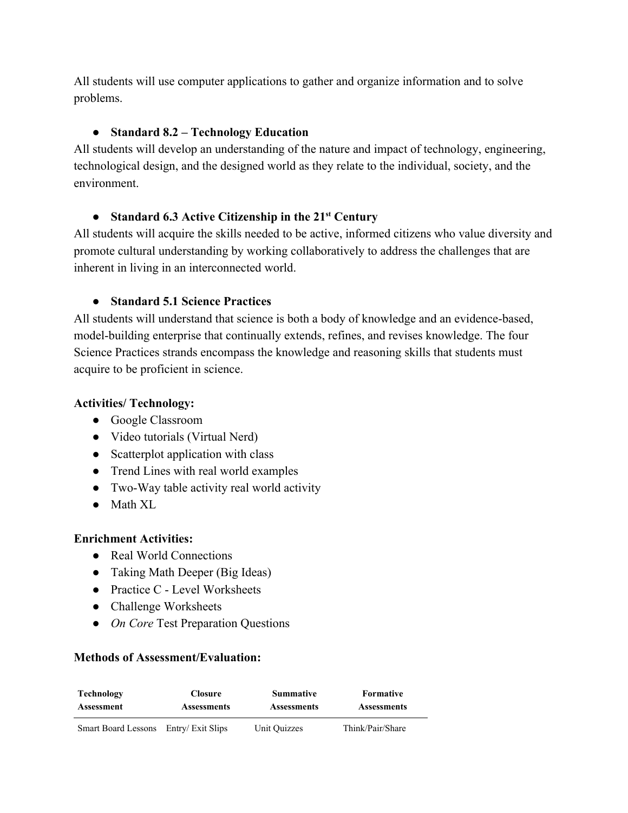All students will use computer applications to gather and organize information and to solve problems.

## ● **Standard 8.2 – Technology Education**

All students will develop an understanding of the nature and impact of technology, engineering, technological design, and the designed world as they relate to the individual, society, and the environment.

# ● **Standard 6.3 Active Citizenship in the 21 st Century**

All students will acquire the skills needed to be active, informed citizens who value diversity and promote cultural understanding by working collaboratively to address the challenges that are inherent in living in an interconnected world.

## ● **Standard 5.1 Science Practices**

All students will understand that science is both a body of knowledge and an evidence-based, model-building enterprise that continually extends, refines, and revises knowledge. The four Science Practices strands encompass the knowledge and reasoning skills that students must acquire to be proficient in science.

## **Activities/ Technology:**

- Google Classroom
- Video tutorials (Virtual Nerd)
- Scatterplot application with class
- Trend Lines with real world examples
- Two-Way table activity real world activity
- Math XL

## **Enrichment Activities:**

- Real World Connections
- Taking Math Deeper (Big Ideas)
- Practice C Level Worksheets
- Challenge Worksheets
- *On Core* Test Preparation Questions

| <b>Technology</b>                     | <b>Closure</b>     | <b>Summative</b>   | Formative          |
|---------------------------------------|--------------------|--------------------|--------------------|
| <b>Assessment</b>                     | <b>Assessments</b> | <b>Assessments</b> | <b>Assessments</b> |
| Smart Board Lessons Entry/ Exit Slips |                    | Unit Quizzes       | Think/Pair/Share   |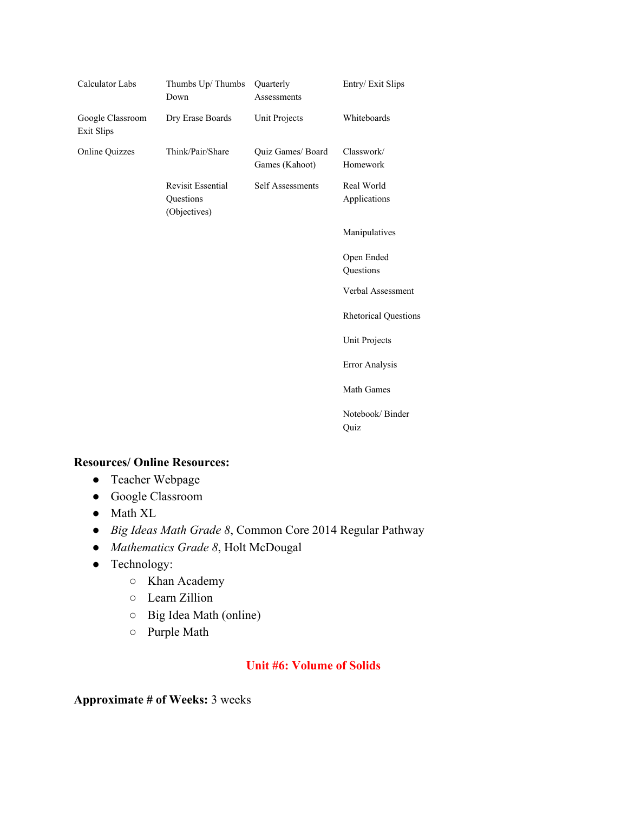| Calculator Labs                       | Thumbs Up/Thumbs<br>Down                              | Quarterly<br>Assessments            | Entry/Exit Slips            |
|---------------------------------------|-------------------------------------------------------|-------------------------------------|-----------------------------|
| Google Classroom<br><b>Exit Slips</b> | Dry Erase Boards                                      | Unit Projects                       | Whiteboards                 |
| <b>Online Quizzes</b>                 | Think/Pair/Share                                      | Quiz Games/ Board<br>Games (Kahoot) | Classwork/<br>Homework      |
|                                       | <b>Revisit Essential</b><br>Questions<br>(Objectives) | Self Assessments                    | Real World<br>Applications  |
|                                       |                                                       |                                     | Manipulatives               |
|                                       |                                                       |                                     | Open Ended<br>Questions     |
|                                       |                                                       |                                     | Verbal Assessment           |
|                                       |                                                       |                                     | <b>Rhetorical Questions</b> |
|                                       |                                                       |                                     | Unit Projects               |
|                                       |                                                       |                                     | Error Analysis              |
|                                       |                                                       |                                     | <b>Math Games</b>           |
|                                       |                                                       |                                     | Notebook/Binder<br>Quiz     |

- Teacher Webpage
- Google Classroom
- Math XL
- *Big Ideas Math Grade 8*, Common Core 2014 Regular Pathway
- *Mathematics Grade 8*, Holt McDougal
- Technology:
	- Khan Academy
	- Learn Zillion
	- Big Idea Math (online)
	- Purple Math

#### **Unit #6: Volume of Solids**

**Approximate # of Weeks:** 3 weeks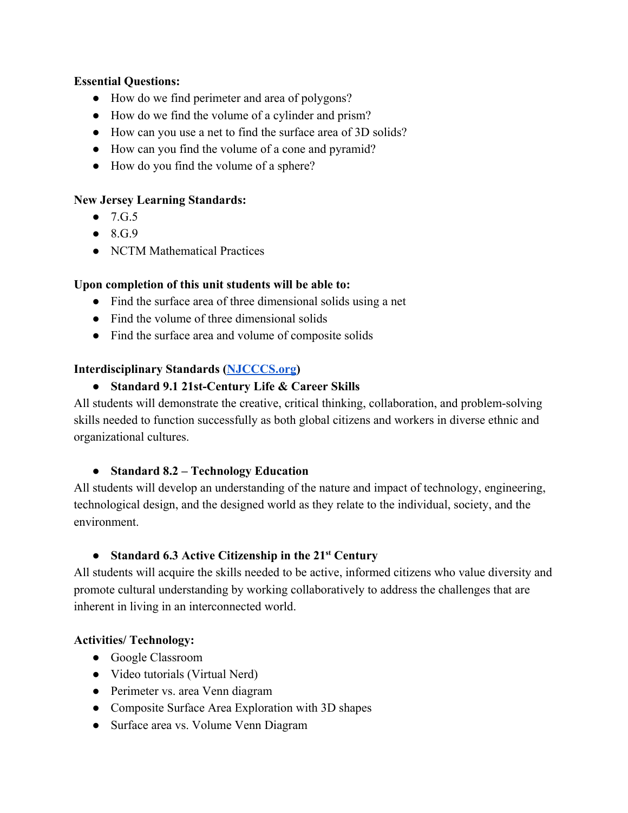#### **Essential Questions:**

- How do we find perimeter and area of polygons?
- How do we find the volume of a cylinder and prism?
- How can you use a net to find the surface area of 3D solids?
- How can you find the volume of a cone and pyramid?
- How do you find the volume of a sphere?

## **New Jersey Learning Standards:**

- $\bullet$  7.G.5
- $\bullet$  8.G.9
- NCTM Mathematical Practices

## **Upon completion of this unit students will be able to:**

- Find the surface area of three dimensional solids using a net
- Find the volume of three dimensional solids
- Find the surface area and volume of composite solids

## **Interdisciplinary Standards ([NJCCCS.org](http://njcccs.org/))**

## ● **Standard 9.1 21st-Century Life & Career Skills**

All students will demonstrate the creative, critical thinking, collaboration, and problem-solving skills needed to function successfully as both global citizens and workers in diverse ethnic and organizational cultures.

## ● **Standard 8.2 – Technology Education**

All students will develop an understanding of the nature and impact of technology, engineering, technological design, and the designed world as they relate to the individual, society, and the environment.

# ● **Standard 6.3 Active Citizenship in the 21 st Century**

All students will acquire the skills needed to be active, informed citizens who value diversity and promote cultural understanding by working collaboratively to address the challenges that are inherent in living in an interconnected world.

#### **Activities/ Technology:**

- Google Classroom
- Video tutorials (Virtual Nerd)
- Perimeter vs. area Venn diagram
- Composite Surface Area Exploration with 3D shapes
- Surface area vs. Volume Venn Diagram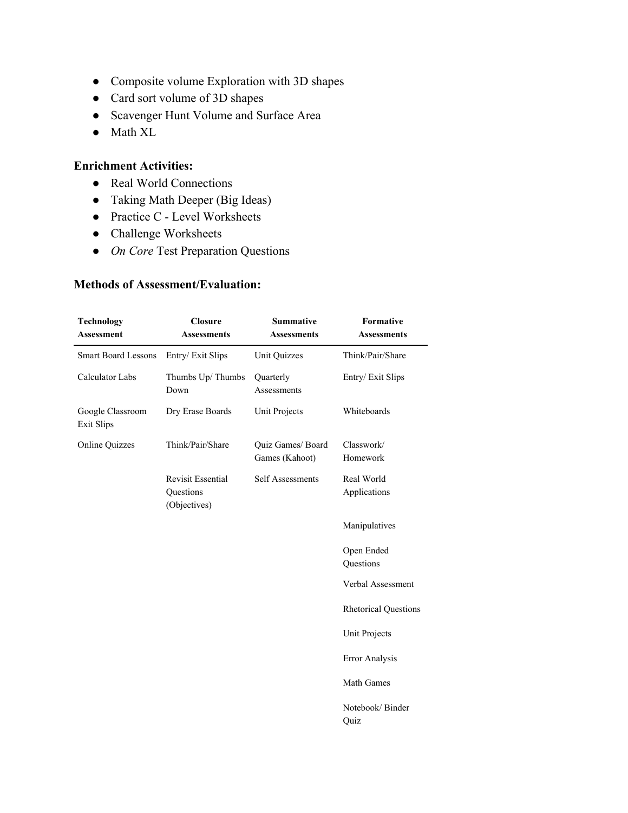- Composite volume Exploration with 3D shapes
- Card sort volume of 3D shapes
- Scavenger Hunt Volume and Surface Area
- Math XL

#### **Enrichment Activities:**

- Real World Connections
- Taking Math Deeper (Big Ideas)
- Practice C Level Worksheets
- Challenge Worksheets
- *On Core* Test Preparation Questions

| <b>Technology</b><br><b>Assessment</b> | <b>Closure</b><br><b>Assessments</b>                  | <b>Summative</b><br><b>Assessments</b> | Formative<br><b>Assessments</b> |
|----------------------------------------|-------------------------------------------------------|----------------------------------------|---------------------------------|
| <b>Smart Board Lessons</b>             | Entry/Exit Slips                                      | Unit Quizzes                           | Think/Pair/Share                |
| Calculator Labs                        | Thumbs Up/Thumbs<br>Down                              | Quarterly<br>Assessments               | Entry/Exit Slips                |
| Google Classroom<br><b>Exit Slips</b>  | Dry Erase Boards                                      | Unit Projects                          | Whiteboards                     |
| <b>Online Quizzes</b>                  | Think/Pair/Share                                      | Quiz Games/ Board<br>Games (Kahoot)    | Classwork/<br>Homework          |
|                                        | <b>Revisit Essential</b><br>Questions<br>(Objectives) | <b>Self Assessments</b>                | Real World<br>Applications      |
|                                        |                                                       |                                        | Manipulatives                   |
|                                        |                                                       |                                        | Open Ended<br>Questions         |
|                                        |                                                       |                                        | Verbal Assessment               |
|                                        |                                                       |                                        | <b>Rhetorical Questions</b>     |
|                                        |                                                       |                                        | Unit Projects                   |
|                                        |                                                       |                                        | <b>Error Analysis</b>           |
|                                        |                                                       |                                        | <b>Math Games</b>               |
|                                        |                                                       |                                        | Notebook/Binder<br>Quiz         |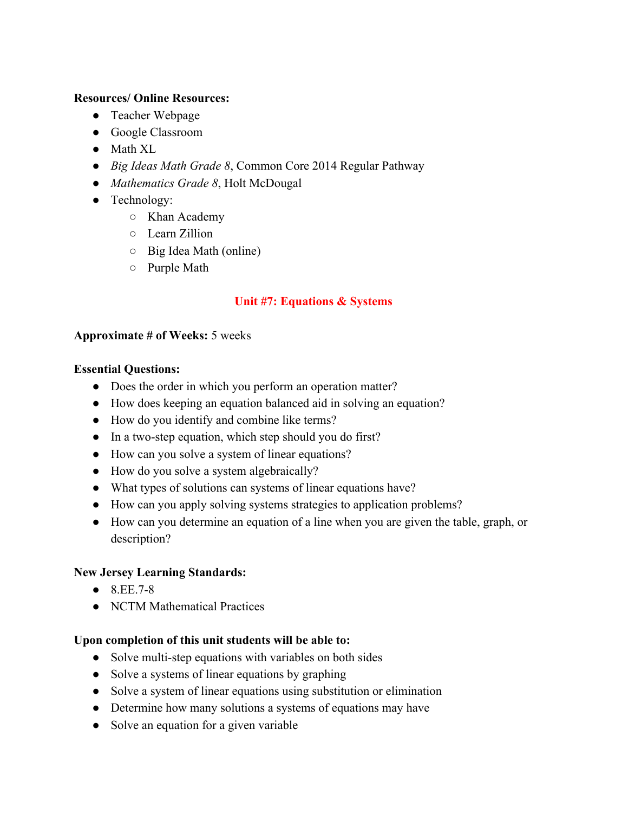- Teacher Webpage
- Google Classroom
- Math XL
- *Big Ideas Math Grade 8*, Common Core 2014 Regular Pathway
- *Mathematics Grade 8*, Holt McDougal
- Technology:
	- Khan Academy
	- Learn Zillion
	- Big Idea Math (online)
	- Purple Math

## **Unit #7: Equations & Systems**

#### **Approximate # of Weeks:** 5 weeks

#### **Essential Questions:**

- Does the order in which you perform an operation matter?
- How does keeping an equation balanced aid in solving an equation?
- How do you identify and combine like terms?
- In a two-step equation, which step should you do first?
- How can you solve a system of linear equations?
- How do you solve a system algebraically?
- What types of solutions can systems of linear equations have?
- How can you apply solving systems strategies to application problems?
- How can you determine an equation of a line when you are given the table, graph, or description?

#### **New Jersey Learning Standards:**

- $\bullet$  8 EE 7-8
- NCTM Mathematical Practices

#### **Upon completion of this unit students will be able to:**

- Solve multi-step equations with variables on both sides
- Solve a systems of linear equations by graphing
- Solve a system of linear equations using substitution or elimination
- Determine how many solutions a systems of equations may have
- Solve an equation for a given variable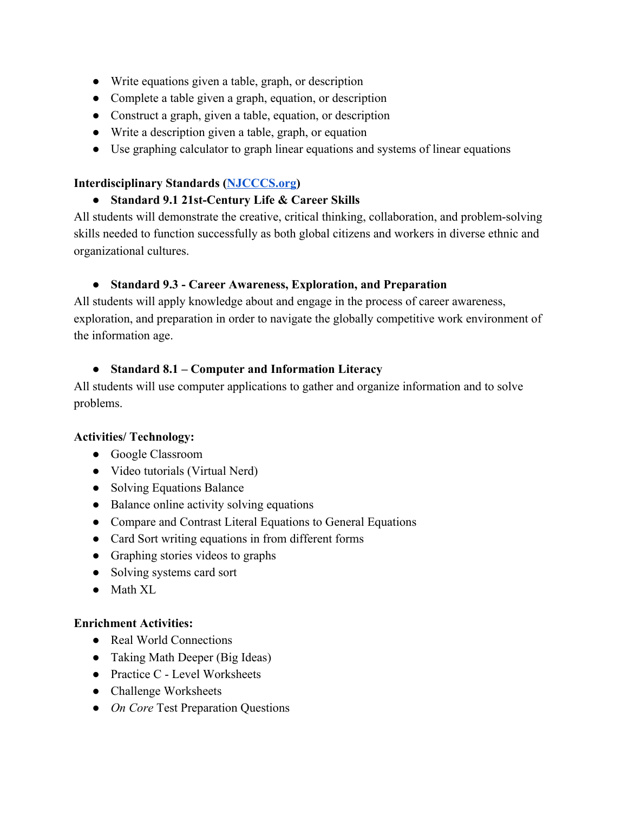- Write equations given a table, graph, or description
- Complete a table given a graph, equation, or description
- Construct a graph, given a table, equation, or description
- Write a description given a table, graph, or equation
- Use graphing calculator to graph linear equations and systems of linear equations

#### **Interdisciplinary Standards ([NJCCCS.org](http://njcccs.org/))**

## ● **Standard 9.1 21st-Century Life & Career Skills**

All students will demonstrate the creative, critical thinking, collaboration, and problem-solving skills needed to function successfully as both global citizens and workers in diverse ethnic and organizational cultures.

## ● **Standard 9.3 - Career Awareness, Exploration, and Preparation**

All students will apply knowledge about and engage in the process of career awareness, exploration, and preparation in order to navigate the globally competitive work environment of the information age.

## ● **Standard 8.1 – Computer and Information Literacy**

All students will use computer applications to gather and organize information and to solve problems.

#### **Activities/ Technology:**

- Google Classroom
- Video tutorials (Virtual Nerd)
- Solving Equations Balance
- Balance online activity solving equations
- Compare and Contrast Literal Equations to General Equations
- Card Sort writing equations in from different forms
- Graphing stories videos to graphs
- Solving systems card sort
- Math XL

#### **Enrichment Activities:**

- Real World Connections
- Taking Math Deeper (Big Ideas)
- Practice C Level Worksheets
- Challenge Worksheets
- *On Core* Test Preparation Questions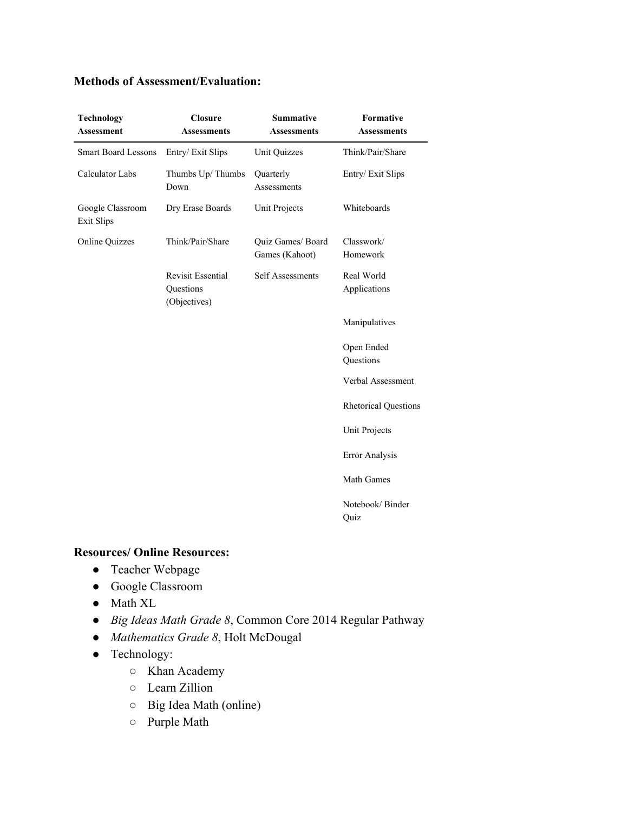#### **Methods of Assessment/Evaluation:**

| <b>Technology</b><br><b>Assessment</b> | <b>Closure</b><br><b>Assessments</b>                  | <b>Summative</b><br><b>Assessments</b> | Formative<br><b>Assessments</b> |
|----------------------------------------|-------------------------------------------------------|----------------------------------------|---------------------------------|
| <b>Smart Board Lessons</b>             | Entry/Exit Slips                                      | <b>Unit Quizzes</b>                    | Think/Pair/Share                |
| Calculator Labs                        | Thumbs Up/Thumbs<br>Down                              | Quarterly<br>Assessments               | Entry/Exit Slips                |
| Google Classroom<br><b>Exit Slips</b>  | Dry Erase Boards                                      | Unit Projects                          | Whiteboards                     |
| <b>Online Quizzes</b>                  | Think/Pair/Share                                      | Quiz Games/ Board<br>Games (Kahoot)    | Classwork/<br>Homework          |
|                                        | <b>Revisit Essential</b><br>Questions<br>(Objectives) | Self Assessments                       | Real World<br>Applications      |
|                                        |                                                       |                                        | Manipulatives                   |
|                                        |                                                       |                                        | Open Ended<br>Questions         |
|                                        |                                                       |                                        | Verbal Assessment               |
|                                        |                                                       |                                        | <b>Rhetorical Questions</b>     |
|                                        |                                                       |                                        | <b>Unit Projects</b>            |
|                                        |                                                       |                                        | Error Analysis                  |
|                                        |                                                       |                                        | Math Games                      |
|                                        |                                                       |                                        | Notebook/Binder<br>Quiz         |

#### **Resources/ Online Resources:**

- Teacher Webpage
- Google Classroom
- Math XL
- *Big Ideas Math Grade 8*, Common Core 2014 Regular Pathway
- *Mathematics Grade 8*, Holt McDougal
- Technology:
	- Khan Academy
	- Learn Zillion
	- Big Idea Math (online)
	- Purple Math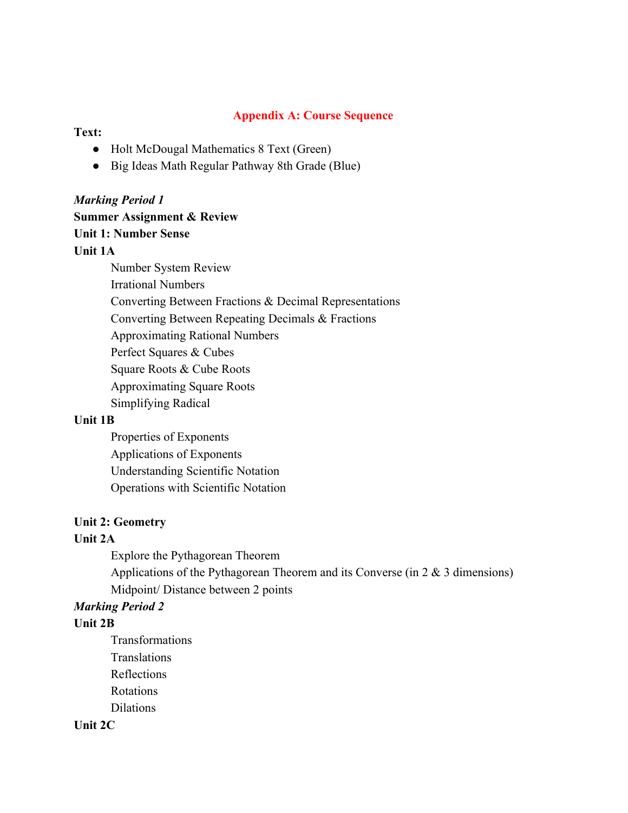#### **Appendix A: Course Sequence**

#### **Text:**

- Holt McDougal Mathematics 8 Text (Green)
- Big Ideas Math Regular Pathway 8th Grade (Blue)

#### *Marking Period 1*

#### **Summer Assignment & Review**

#### **Unit 1: Number Sense**

## **Unit 1A**

Number System Review Irrational Numbers Converting Between Fractions & Decimal Representations Converting Between Repeating Decimals & Fractions Approximating Rational Numbers Perfect Squares & Cubes Square Roots & Cube Roots Approximating Square Roots Simplifying Radical

#### **Unit 1B**

Properties of Exponents Applications of Exponents Understanding Scientific Notation Operations with Scientific Notation

#### **Unit 2: Geometry**

#### **Unit 2A**

Explore the Pythagorean Theorem Applications of the Pythagorean Theorem and its Converse (in 2 & 3 dimensions) Midpoint/ Distance between 2 points

#### *Marking Period 2*

#### **Unit 2B**

Transformations **Translations** Reflections Rotations Dilations

#### **Unit 2C**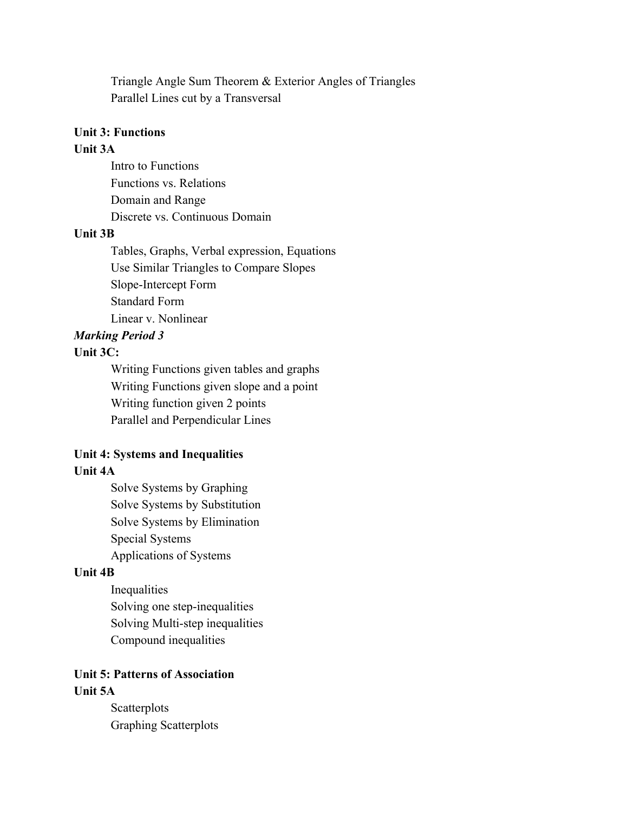Triangle Angle Sum Theorem & Exterior Angles of Triangles Parallel Lines cut by a Transversal

#### **Unit 3: Functions**

## **Unit 3A**

Intro to Functions Functions vs. Relations Domain and Range Discrete vs. Continuous Domain

#### **Unit 3B**

Tables, Graphs, Verbal expression, Equations Use Similar Triangles to Compare Slopes Slope-Intercept Form Standard Form Linear v. Nonlinear

#### *Marking Period 3*

#### **Unit 3C:**

Writing Functions given tables and graphs Writing Functions given slope and a point Writing function given 2 points Parallel and Perpendicular Lines

#### **Unit 4: Systems and Inequalities Unit 4A**

Solve Systems by Graphing Solve Systems by Substitution Solve Systems by Elimination Special Systems Applications of Systems

#### **Unit 4B**

Inequalities Solving one step-inequalities Solving Multi-step inequalities Compound inequalities

#### **Unit 5: Patterns of Association Unit 5A**

**Scatterplots** Graphing Scatterplots